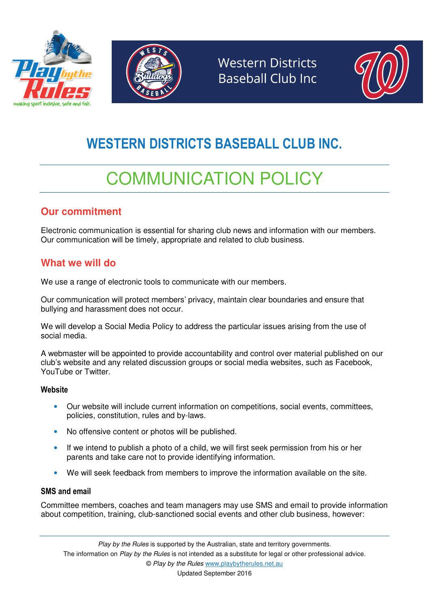





## WESTERN DISTRICTS BASEBALL CLUB INC.

# COMMUNICATION POLICY

## **Our commitment**

Electronic communication is essential for sharing club news and information with our members. Our communication will be timely, appropriate and related to club business.

## **What we will do**

We use a range of electronic tools to communicate with our members.

Our communication will protect members' privacy, maintain clear boundaries and ensure that bullying and harassment does not occur.

We will develop a Social Media Policy to address the particular issues arising from the use of social media.

A webmaster will be appointed to provide accountability and control over material published on our club's website and any related discussion groups or social media websites, such as Facebook, YouTube or Twitter.

#### **Website**

- Our website will include current information on competitions, social events, committees, policies, constitution, rules and by-laws.
- No offensive content or photos will be published.
- If we intend to publish a photo of a child, we will first seek permission from his or her parents and take care not to provide identifying information.
- We will seek feedback from members to improve the information available on the site.

#### SMS and email

Committee members, coaches and team managers may use SMS and email to provide information about competition, training, club-sanctioned social events and other club business, however: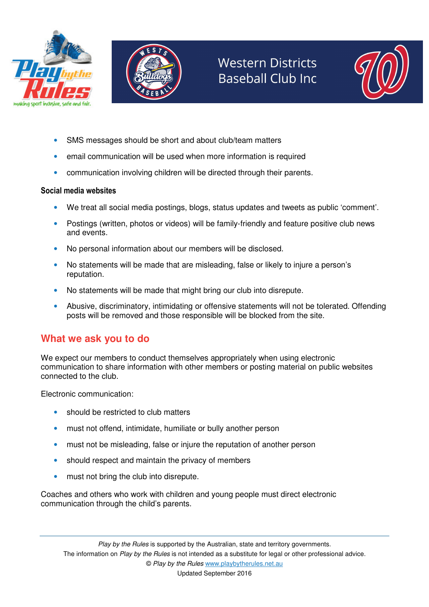





- SMS messages should be short and about club/team matters
- email communication will be used when more information is required
- communication involving children will be directed through their parents.

#### Social media websites

- We treat all social media postings, blogs, status updates and tweets as public 'comment'.
- Postings (written, photos or videos) will be family-friendly and feature positive club news and events.
- No personal information about our members will be disclosed.
- No statements will be made that are misleading, false or likely to injure a person's reputation.
- No statements will be made that might bring our club into disrepute.
- Abusive, discriminatory, intimidating or offensive statements will not be tolerated. Offending posts will be removed and those responsible will be blocked from the site.

## **What we ask you to do**

We expect our members to conduct themselves appropriately when using electronic communication to share information with other members or posting material on public websites connected to the club.

Electronic communication:

- should be restricted to club matters
- must not offend, intimidate, humiliate or bully another person
- must not be misleading, false or injure the reputation of another person
- should respect and maintain the privacy of members
- must not bring the club into disrepute.

Coaches and others who work with children and young people must direct electronic communication through the child's parents.